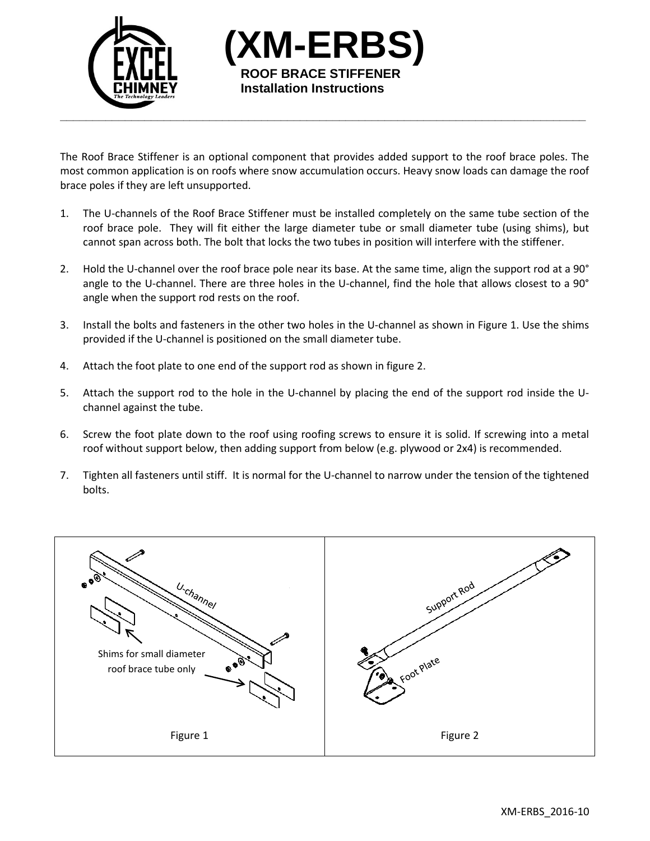

The Roof Brace Stiffener is an optional component that provides added support to the roof brace poles. The most common application is on roofs where snow accumulation occurs. Heavy snow loads can damage the roof brace poles if they are left unsupported.

**(XM-ERBS)**

**ROOF BRACE STIFFENER Installation Instructions**

- 1. The U-channels of the Roof Brace Stiffener must be installed completely on the same tube section of the roof brace pole. They will fit either the large diameter tube or small diameter tube (using shims), but cannot span across both. The bolt that locks the two tubes in position will interfere with the stiffener.
- 2. Hold the U-channel over the roof brace pole near its base. At the same time, align the support rod at a 90° angle to the U-channel. There are three holes in the U-channel, find the hole that allows closest to a 90° angle when the support rod rests on the roof.
- 3. Install the bolts and fasteners in the other two holes in the U-channel as shown in Figure 1. Use the shims provided if the U-channel is positioned on the small diameter tube.
- 4. Attach the foot plate to one end of the support rod as shown in figure 2.
- 5. Attach the support rod to the hole in the U-channel by placing the end of the support rod inside the Uchannel against the tube.
- 6. Screw the foot plate down to the roof using roofing screws to ensure it is solid. If screwing into a metal roof without support below, then adding support from below (e.g. plywood or 2x4) is recommended.
- 7. Tighten all fasteners until stiff. It is normal for the U-channel to narrow under the tension of the tightened bolts.